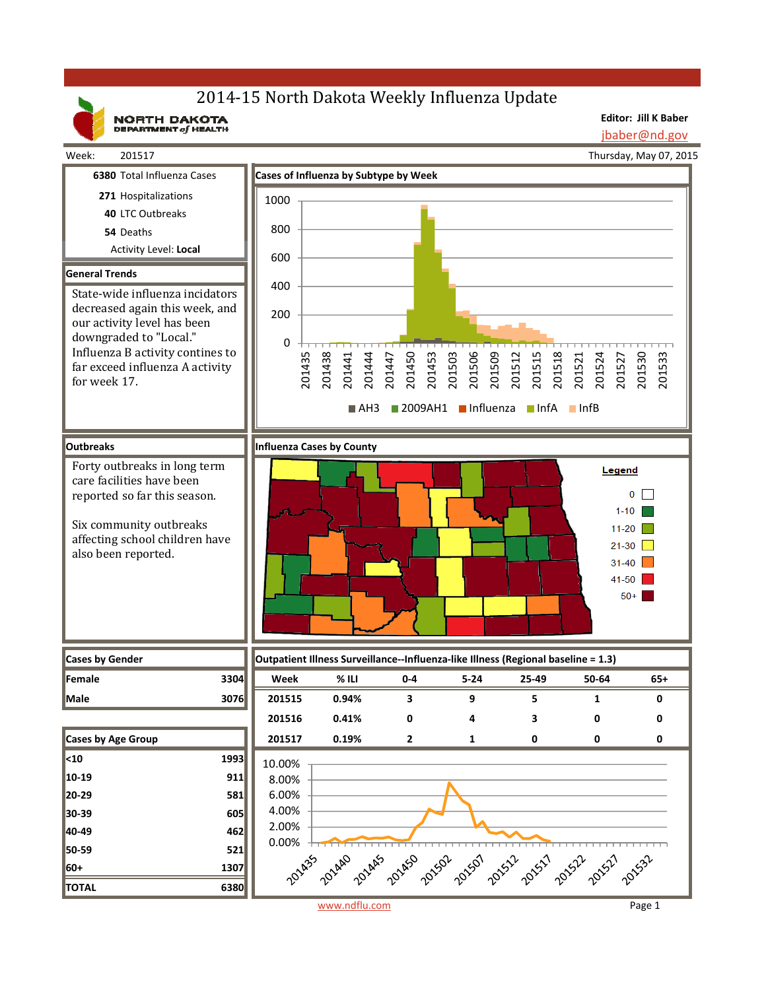# 2014-15 North Dakota Weekly Influenza Update

NORTH DAKOTA

**Editor: Jill K Baber** jbaber@nd.gov

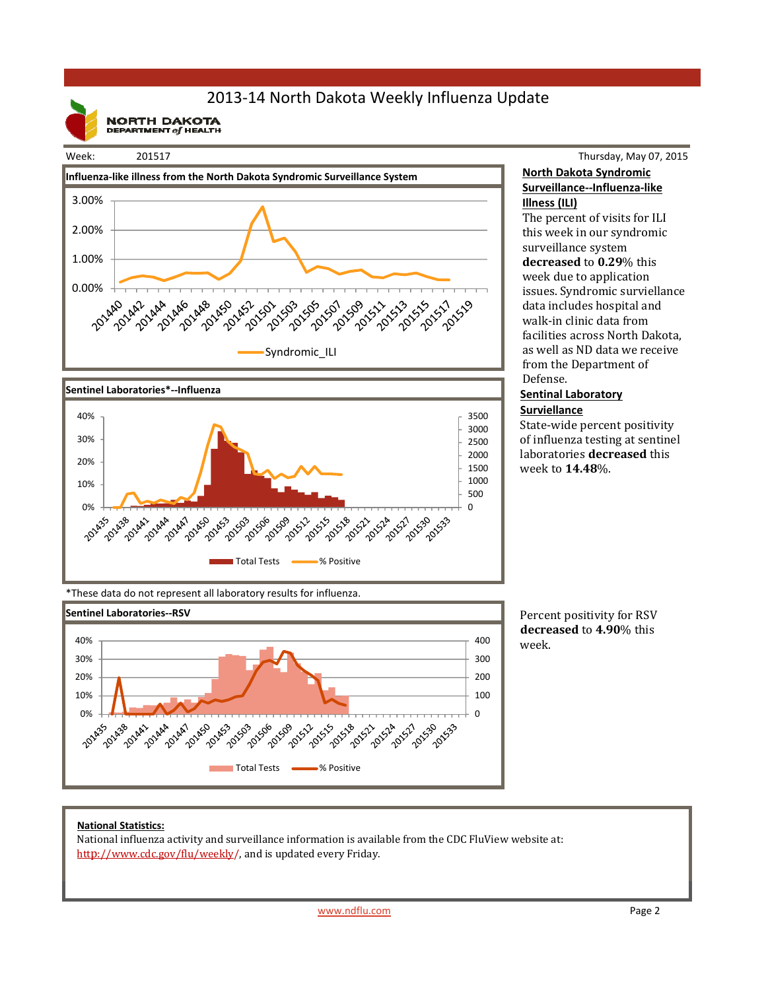## 2013‐14 North Dakota Weekly Influenza Update

**NORTH DAKOTA**<br>DEPARTMENT of HEALTH

#### Week: 201517





### Thursday, May 07, 2015 **North Dakota Syndromic Surveillance‐‐Influenza‐like Illness (ILI)**

The percent of visits for ILI this week in our syndromic surveillance system **decreased** to **0.29**% this week due to application issues. Syndromic surviellance data includes hospital and walk-in clinic data from facilities across North Dakota, as well as ND data we receive from the Department of Defense. 

#### **Sentinal Laboratory Surviellance**

State-wide percent positivity of influenza testing at sentinel laboratories **decreased** this week to **14.48**%. 

\*These data do not represent all laboratory results for influenza.



Percent positivity for RSV **decreased** to **4.90**% this week.

#### **National Statistics:**

National influenza activity and surveillance information is available from the CDC FluView website at: http://www.cdc.gov/flu/weekly/, and is updated every Friday.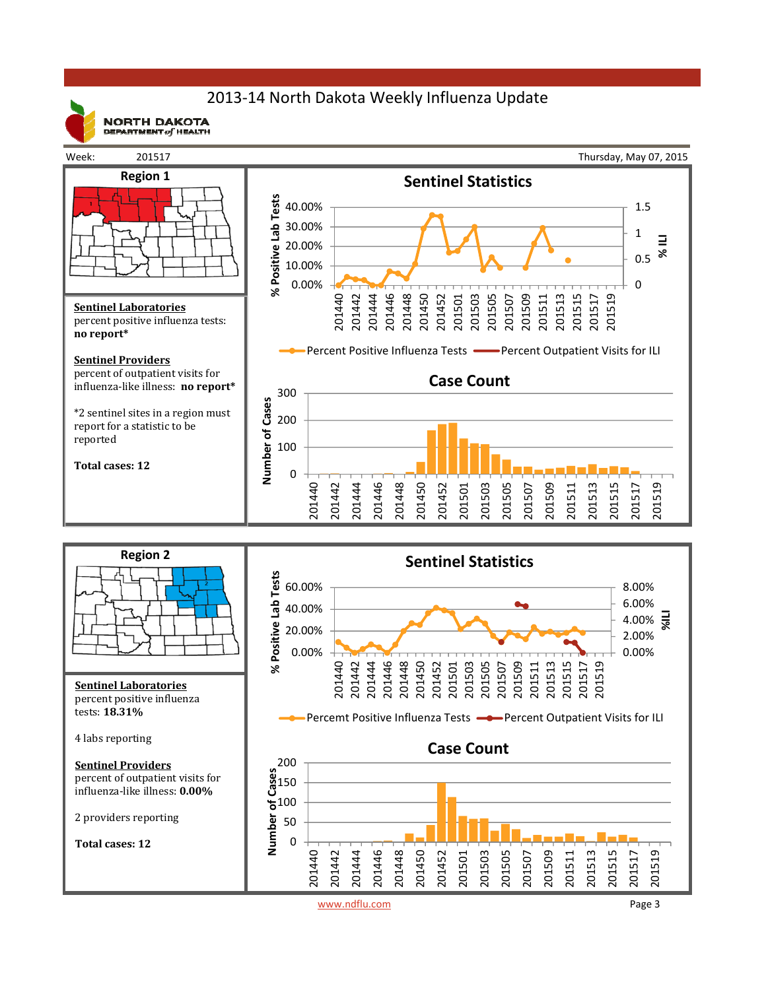## 2013‐14 North Dakota Weekly Influenza Update



**NORTH DAKOTA** DEPARTMENT  $of$  HEALTH